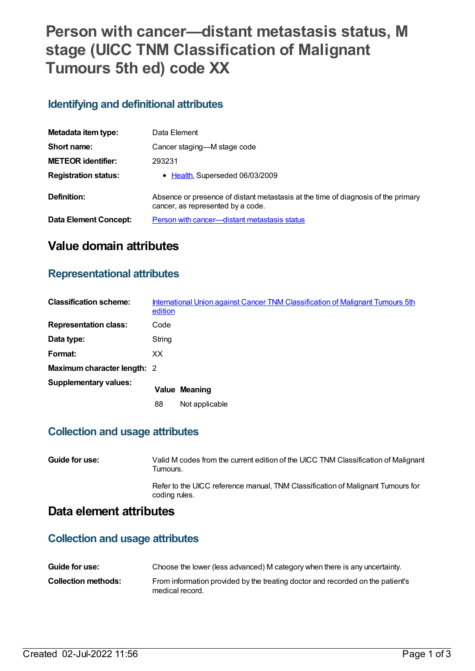# **Person with cancer—distant metastasis status, M stage (UICC TNM Classification of Malignant Tumours 5th ed) code XX**

## **Identifying and definitional attributes**

| Metadata item type:         | Data Element                                                                                                           |
|-----------------------------|------------------------------------------------------------------------------------------------------------------------|
| Short name:                 | Cancer staging—M stage code                                                                                            |
| <b>METEOR</b> identifier:   | 293231                                                                                                                 |
| <b>Registration status:</b> | • Health, Superseded 06/03/2009                                                                                        |
| Definition:                 | Absence or presence of distant metastasis at the time of diagnosis of the primary<br>cancer, as represented by a code. |
| Data Element Concept:       | Person with cancer—distant metastasis status                                                                           |

# **Value domain attributes**

### **Representational attributes**

| <b>Classification scheme:</b> | edition | International Union against Cancer TNM Classification of Malignant Tumours 5th |
|-------------------------------|---------|--------------------------------------------------------------------------------|
| <b>Representation class:</b>  | Code    |                                                                                |
| Data type:                    | String  |                                                                                |
| Format:                       | XX      |                                                                                |
| Maximum character length: 2   |         |                                                                                |
| <b>Supplementary values:</b>  |         | <b>Value Meaning</b>                                                           |
|                               | 88      | Not applicable                                                                 |

## **Collection and usage attributes**

| Guide for use: | Valid M codes from the current edition of the UICC TNM Classification of Malignant<br>Tumours.   |
|----------------|--------------------------------------------------------------------------------------------------|
|                | Refer to the UICC reference manual, TNM Classification of Malignant Tumours for<br>coding rules. |

## **Data element attributes**

### **Collection and usage attributes**

| Guide for use:      | Choose the lower (less advanced) M category when there is any uncertainty.                        |
|---------------------|---------------------------------------------------------------------------------------------------|
| Collection methods: | From information provided by the treating doctor and recorded on the patient's<br>medical record. |